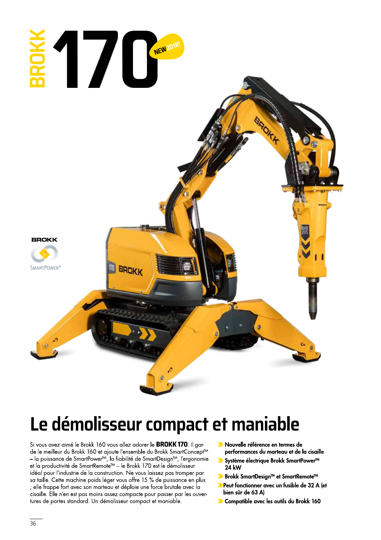

## Le démolisseur compact et maniable

Si vous avez aimé le Brokk 160 vous allez adorer le BROKK 170. Il garde le meilleur du Brokk 160 et ajoute l'ensemble du Brokk SmartConcept™ - la puissance de SmartPower™, la fiabilité de SmartDesign™, l'ergonomie et la productivité de SmartRemote™ - le Brokk 170 est le démolisseur idéal pour l'industrie de la construction. Ne vous laissez pas tromper par sa taille. Cette machine poids léger vous offre 15 % de puissance en plus ; elle frappe fort avec son marteau et déploie une force brutale avec la cisaille. Elle n'en est pas moins assez compacte pour passer par les ouvertures de portes standard. Un démolisseur compact et maniable.

- Nouvelle référence en termes de performances du marteau et de la cisaille
- ▶ Système électrique Brokk SmartPower™ 24 kW
- ▶ Brokk SmartDesign™ et SmartRemote™
- Peut fonctionner avec un fusible de 32 A (et bien sûr de 63 A)
- Compatible avec les outils du Brokk 160